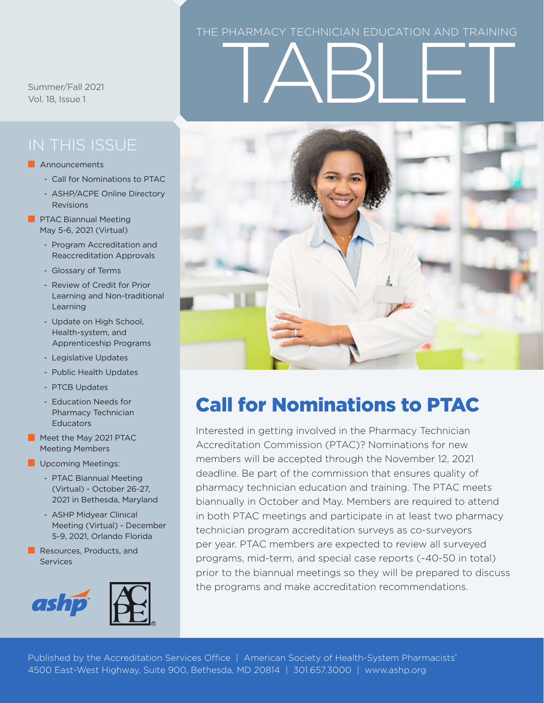#### THE PHARMACY TECHNICIAN EDUCATION AND TRAINING

Summer/Fall 2021 Vol. 18, Issue 1

#### **Announcements**

- Call for Nominations to PTAC
- ASHP/ACPE Online Directory Revisions
- **PTAC Biannual Meeting** May 5-6, 2021 (Virtual)
	- Program Accreditation and Reaccreditation Approvals
	- Glossary of Terms
	- Review of Credit for Prior Learning and Non-traditional Learning
	- Update on High School, Health-system, and Apprenticeship Programs
	- Legislative Updates
	- Public Health Updates
	- PTCB Updates
	- Education Needs for Pharmacy Technician **Educators**
- Meet the May 2021 PTAC Meeting Members
- **Upcoming Meetings:** 
	- PTAC Biannual Meeting (Virtual) - October 26-27, 2021 in Bethesda, Maryland
	- ASHP Midyear Clinical Meeting (Virtual) - December 5-9, 2021, Orlando Florida
- Resources, Products, and Services







# Call for Nominations to PTAC

Interested in getting involved in the Pharmacy Technician Accreditation Commission (PTAC)? Nominations for new members will be accepted through the November 12, 2021 deadline. Be part of the commission that ensures quality of pharmacy technician education and training. The PTAC meets biannually in October and May. Members are required to attend in both PTAC meetings and participate in at least two pharmacy technician program accreditation surveys as co-surveyors per year. PTAC members are expected to review all surveyed programs, mid-term, and special case reports (~40-50 in total) prior to the biannual meetings so they will be prepared to discuss the programs and make accreditation recommendations.

Published by the Accreditation Services Office | American Society of Health-System Pharmacists 4500 East-West Highway, Suite 900, Bethesda, MD 20814 | 301.657.3000 | [www.ashp.org](http://www.ashp.org)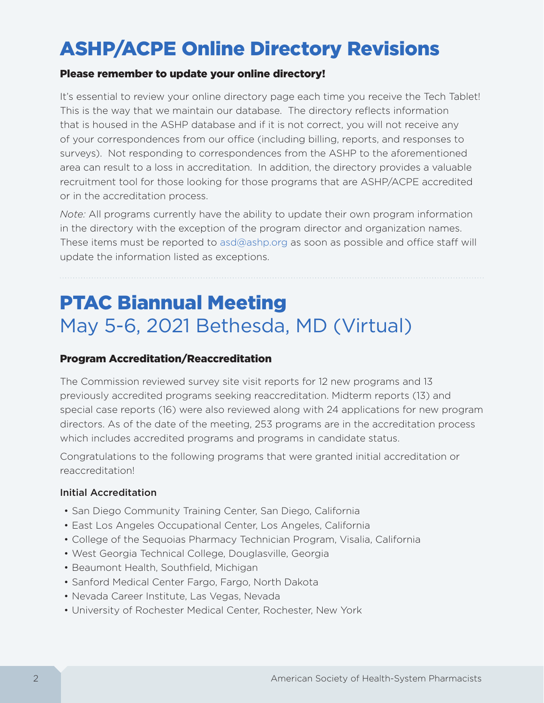# ASHP/ACPE Online Directory Revisions

#### Please remember to update your online directory!

It's essential to review your online directory page each time you receive the Tech Tablet! This is the way that we maintain our database. The directory reflects information that is housed in the ASHP database and if it is not correct, you will not receive any of your correspondences from our office (including billing, reports, and responses to surveys). Not responding to correspondences from the ASHP to the aforementioned area can result to a loss in accreditation. In addition, the directory provides a valuable recruitment tool for those looking for those programs that are ASHP/ACPE accredited or in the accreditation process.

*Note:* All programs currently have the ability to update their own program information in the directory with the exception of the program director and organization names. These items must be reported to [asd@ashp.org](mailto:asd@ashp.org) as soon as possible and office staff will update the information listed as exceptions.

# PTAC Biannual Meeting May 5-6, 2021 Bethesda, MD (Virtual)

#### Program Accreditation/Reaccreditation

The Commission reviewed survey site visit reports for 12 new programs and 13 previously accredited programs seeking reaccreditation. Midterm reports (13) and special case reports (16) were also reviewed along with 24 applications for new program directors. As of the date of the meeting, 253 programs are in the accreditation process which includes accredited programs and programs in candidate status.

Congratulations to the following programs that were granted initial accreditation or reaccreditation!

#### Initial Accreditation

- San Diego Community Training Center, San Diego, California
- East Los Angeles Occupational Center, Los Angeles, California
- College of the Sequoias Pharmacy Technician Program, Visalia, California
- West Georgia Technical College, Douglasville, Georgia
- Beaumont Health, Southfield, Michigan
- Sanford Medical Center Fargo, Fargo, North Dakota
- Nevada Career Institute, Las Vegas, Nevada
- University of Rochester Medical Center, Rochester, New York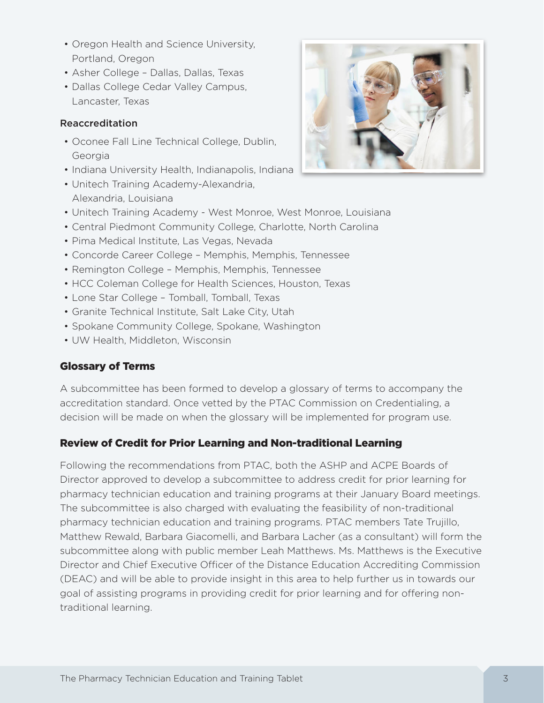- Oregon Health and Science University, Portland, Oregon
- Asher College Dallas, Dallas, Texas
- Dallas College Cedar Valley Campus, Lancaster, Texas

# Reaccreditation

- Oconee Fall Line Technical College, Dublin, Georgia
- Indiana University Health, Indianapolis, Indiana
- Unitech Training Academy-Alexandria, Alexandria, Louisiana
- Unitech Training Academy West Monroe, West Monroe, Louisiana
- Central Piedmont Community College, Charlotte, North Carolina
- Pima Medical Institute, Las Vegas, Nevada
- Concorde Career College Memphis, Memphis, Tennessee
- Remington College Memphis, Memphis, Tennessee
- HCC Coleman College for Health Sciences, Houston, Texas
- Lone Star College Tomball, Tomball, Texas
- Granite Technical Institute, Salt Lake City, Utah
- Spokane Community College, Spokane, Washington
- UW Health, Middleton, Wisconsin

# Glossary of Terms

A subcommittee has been formed to develop a glossary of terms to accompany the accreditation standard. Once vetted by the PTAC Commission on Credentialing, a decision will be made on when the glossary will be implemented for program use.

# Review of Credit for Prior Learning and Non-traditional Learning

Following the recommendations from PTAC, both the ASHP and ACPE Boards of Director approved to develop a subcommittee to address credit for prior learning for pharmacy technician education and training programs at their January Board meetings. The subcommittee is also charged with evaluating the feasibility of non-traditional pharmacy technician education and training programs. PTAC members Tate Trujillo, Matthew Rewald, Barbara Giacomelli, and Barbara Lacher (as a consultant) will form the subcommittee along with public member Leah Matthews. Ms. Matthews is the Executive Director and Chief Executive Officer of the Distance Education Accrediting Commission (DEAC) and will be able to provide insight in this area to help further us in towards our goal of assisting programs in providing credit for prior learning and for offering nontraditional learning.

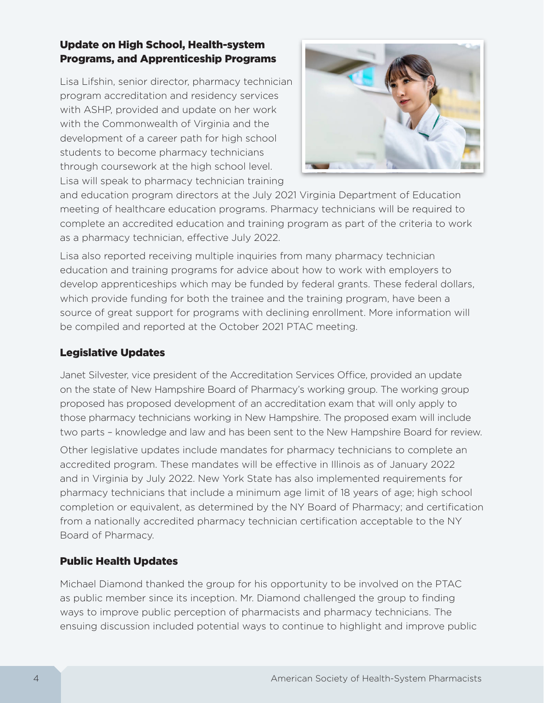# Update on High School, Health-system Programs, and Apprenticeship Programs

Lisa Lifshin, senior director, pharmacy technician program accreditation and residency services with ASHP, provided and update on her work with the Commonwealth of Virginia and the development of a career path for high school students to become pharmacy technicians through coursework at the high school level. Lisa will speak to pharmacy technician training



and education program directors at the July 2021 Virginia Department of Education meeting of healthcare education programs. Pharmacy technicians will be required to complete an accredited education and training program as part of the criteria to work as a pharmacy technician, effective July 2022.

Lisa also reported receiving multiple inquiries from many pharmacy technician education and training programs for advice about how to work with employers to develop apprenticeships which may be funded by federal grants. These federal dollars, which provide funding for both the trainee and the training program, have been a source of great support for programs with declining enrollment. More information will be compiled and reported at the October 2021 PTAC meeting.

# Legislative Updates

Janet Silvester, vice president of the Accreditation Services Office, provided an update on the state of New Hampshire Board of Pharmacy's working group. The working group proposed has proposed development of an accreditation exam that will only apply to those pharmacy technicians working in New Hampshire. The proposed exam will include two parts – knowledge and law and has been sent to the New Hampshire Board for review.

Other legislative updates include mandates for pharmacy technicians to complete an accredited program. These mandates will be effective in Illinois as of January 2022 and in Virginia by July 2022. New York State has also implemented requirements for pharmacy technicians that include a minimum age limit of 18 years of age; high school completion or equivalent, as determined by the NY Board of Pharmacy; and certification from a nationally accredited pharmacy technician certification acceptable to the NY Board of Pharmacy.

# Public Health Updates

Michael Diamond thanked the group for his opportunity to be involved on the PTAC as public member since its inception. Mr. Diamond challenged the group to finding ways to improve public perception of pharmacists and pharmacy technicians. The ensuing discussion included potential ways to continue to highlight and improve public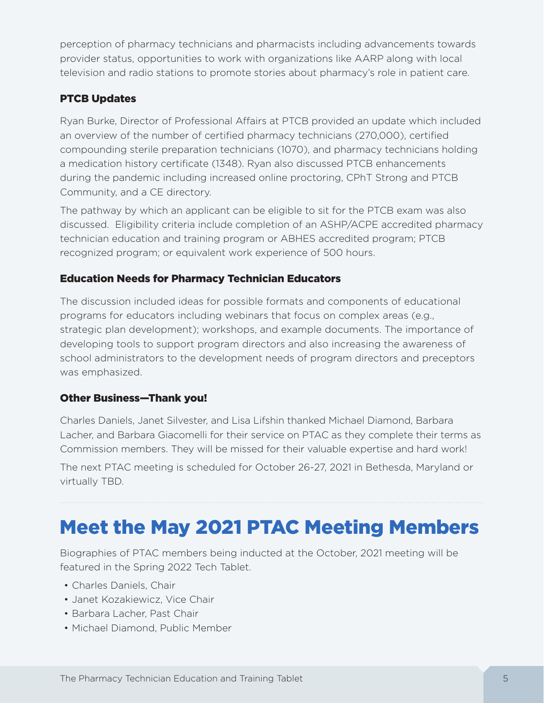perception of pharmacy technicians and pharmacists including advancements towards provider status, opportunities to work with organizations like AARP along with local television and radio stations to promote stories about pharmacy's role in patient care.

# PTCB Updates

Ryan Burke, Director of Professional Affairs at PTCB provided an update which included an overview of the number of certified pharmacy technicians (270,000), certified compounding sterile preparation technicians (1070), and pharmacy technicians holding a medication history certificate (1348). Ryan also discussed PTCB enhancements during the pandemic including increased online proctoring, CPhT Strong and PTCB Community, and a CE directory.

The pathway by which an applicant can be eligible to sit for the PTCB exam was also discussed. Eligibility criteria include completion of an ASHP/ACPE accredited pharmacy technician education and training program or ABHES accredited program; PTCB recognized program; or equivalent work experience of 500 hours.

# Education Needs for Pharmacy Technician Educators

The discussion included ideas for possible formats and components of educational programs for educators including webinars that focus on complex areas (e.g., strategic plan development); workshops, and example documents. The importance of developing tools to support program directors and also increasing the awareness of school administrators to the development needs of program directors and preceptors was emphasized.

# Other Business—Thank you!

Charles Daniels, Janet Silvester, and Lisa Lifshin thanked Michael Diamond, Barbara Lacher, and Barbara Giacomelli for their service on PTAC as they complete their terms as Commission members. They will be missed for their valuable expertise and hard work!

The next PTAC meeting is scheduled for October 26-27, 2021 in Bethesda, Maryland or virtually TBD.

# Meet the May 2021 PTAC Meeting Members

Biographies of PTAC members being inducted at the October, 2021 meeting will be featured in the Spring 2022 Tech Tablet.

- Charles Daniels, Chair
- Janet Kozakiewicz, Vice Chair
- Barbara Lacher, Past Chair
- Michael Diamond, Public Member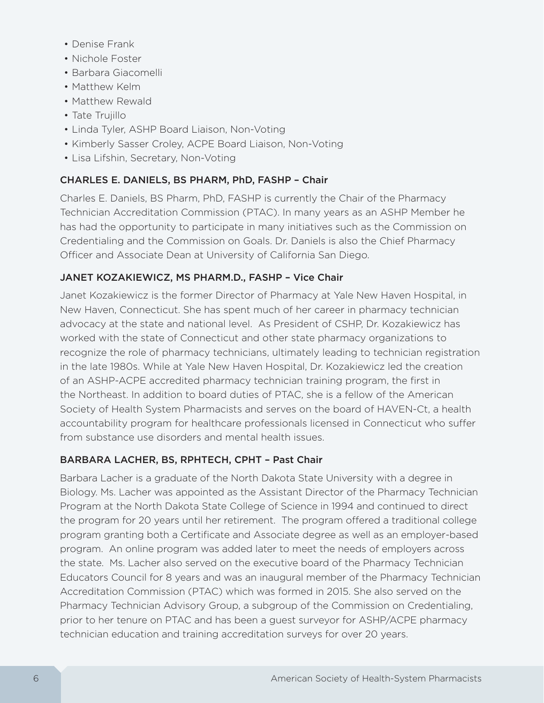- Denise Frank
- Nichole Foster
- Barbara Giacomelli
- Matthew Kelm
- Matthew Rewald
- Tate Trujillo
- Linda Tyler, ASHP Board Liaison, Non-Voting
- Kimberly Sasser Croley, ACPE Board Liaison, Non-Voting
- Lisa Lifshin, Secretary, Non-Voting

# CHARLES E. DANIELS, BS PHARM, PhD, FASHP – Chair

Charles E. Daniels, BS Pharm, PhD, FASHP is currently the Chair of the Pharmacy Technician Accreditation Commission (PTAC). In many years as an ASHP Member he has had the opportunity to participate in many initiatives such as the Commission on Credentialing and the Commission on Goals. Dr. Daniels is also the Chief Pharmacy Officer and Associate Dean at University of California San Diego.

# JANET KOZAKIEWICZ, MS PHARM.D., FASHP – Vice Chair

Janet Kozakiewicz is the former Director of Pharmacy at Yale New Haven Hospital, in New Haven, Connecticut. She has spent much of her career in pharmacy technician advocacy at the state and national level. As President of CSHP, Dr. Kozakiewicz has worked with the state of Connecticut and other state pharmacy organizations to recognize the role of pharmacy technicians, ultimately leading to technician registration in the late 1980s. While at Yale New Haven Hospital, Dr. Kozakiewicz led the creation of an ASHP-ACPE accredited pharmacy technician training program, the first in the Northeast. In addition to board duties of PTAC, she is a fellow of the American Society of Health System Pharmacists and serves on the board of HAVEN-Ct, a health accountability program for healthcare professionals licensed in Connecticut who suffer from substance use disorders and mental health issues.

# BARBARA LACHER, BS, RPHTECH, CPHT – Past Chair

Barbara Lacher is a graduate of the North Dakota State University with a degree in Biology. Ms. Lacher was appointed as the Assistant Director of the Pharmacy Technician Program at the North Dakota State College of Science in 1994 and continued to direct the program for 20 years until her retirement. The program offered a traditional college program granting both a Certificate and Associate degree as well as an employer-based program. An online program was added later to meet the needs of employers across the state. Ms. Lacher also served on the executive board of the Pharmacy Technician Educators Council for 8 years and was an inaugural member of the Pharmacy Technician Accreditation Commission (PTAC) which was formed in 2015. She also served on the Pharmacy Technician Advisory Group, a subgroup of the Commission on Credentialing, prior to her tenure on PTAC and has been a guest surveyor for ASHP/ACPE pharmacy technician education and training accreditation surveys for over 20 years.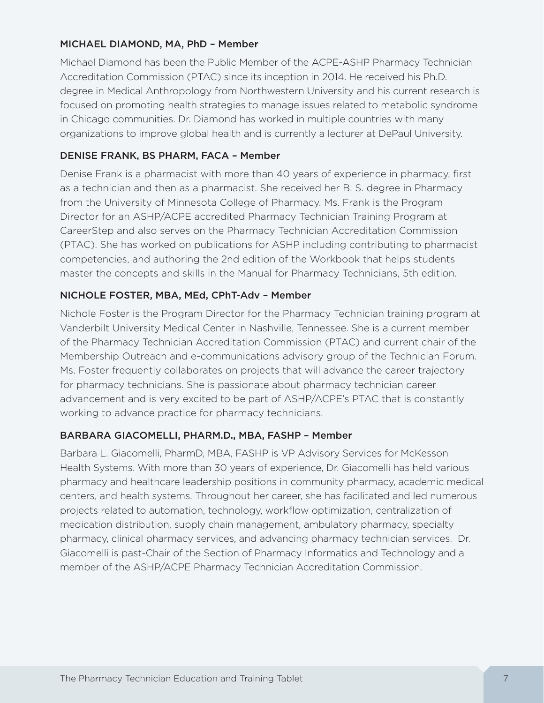#### MICHAEL DIAMOND, MA, PhD – Member

Michael Diamond has been the Public Member of the ACPE-ASHP Pharmacy Technician Accreditation Commission (PTAC) since its inception in 2014. He received his Ph.D. degree in Medical Anthropology from Northwestern University and his current research is focused on promoting health strategies to manage issues related to metabolic syndrome in Chicago communities. Dr. Diamond has worked in multiple countries with many organizations to improve global health and is currently a lecturer at DePaul University.

### DENISE FRANK, BS PHARM, FACA – Member

Denise Frank is a pharmacist with more than 40 years of experience in pharmacy, first as a technician and then as a pharmacist. She received her B. S. degree in Pharmacy from the University of Minnesota College of Pharmacy. Ms. Frank is the Program Director for an ASHP/ACPE accredited Pharmacy Technician Training Program at CareerStep and also serves on the Pharmacy Technician Accreditation Commission (PTAC). She has worked on publications for ASHP including contributing to pharmacist competencies, and authoring the 2nd edition of the Workbook that helps students master the concepts and skills in the Manual for Pharmacy Technicians, 5th edition.

#### NICHOLE FOSTER, MBA, MEd, CPhT-Adv – Member

Nichole Foster is the Program Director for the Pharmacy Technician training program at Vanderbilt University Medical Center in Nashville, Tennessee. She is a current member of the Pharmacy Technician Accreditation Commission (PTAC) and current chair of the Membership Outreach and e-communications advisory group of the Technician Forum. Ms. Foster frequently collaborates on projects that will advance the career trajectory for pharmacy technicians. She is passionate about pharmacy technician career advancement and is very excited to be part of ASHP/ACPE's PTAC that is constantly working to advance practice for pharmacy technicians.

#### BARBARA GIACOMELLI, PHARM.D., MBA, FASHP – Member

Barbara L. Giacomelli, PharmD, MBA, FASHP is VP Advisory Services for McKesson Health Systems. With more than 30 years of experience, Dr. Giacomelli has held various pharmacy and healthcare leadership positions in community pharmacy, academic medical centers, and health systems. Throughout her career, she has facilitated and led numerous projects related to automation, technology, workflow optimization, centralization of medication distribution, supply chain management, ambulatory pharmacy, specialty pharmacy, clinical pharmacy services, and advancing pharmacy technician services. Dr. Giacomelli is past-Chair of the Section of Pharmacy Informatics and Technology and a member of the ASHP/ACPE Pharmacy Technician Accreditation Commission.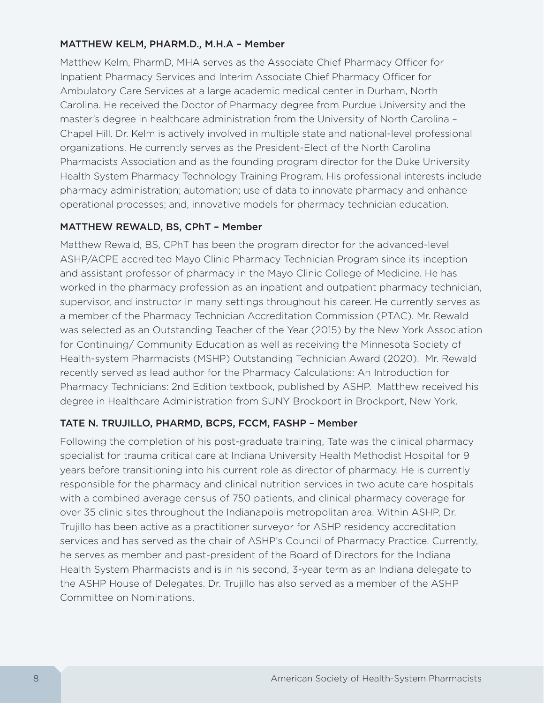#### MATTHEW KELM, PHARM.D., M.H.A – Member

Matthew Kelm, PharmD, MHA serves as the Associate Chief Pharmacy Officer for Inpatient Pharmacy Services and Interim Associate Chief Pharmacy Officer for Ambulatory Care Services at a large academic medical center in Durham, North Carolina. He received the Doctor of Pharmacy degree from Purdue University and the master's degree in healthcare administration from the University of North Carolina – Chapel Hill. Dr. Kelm is actively involved in multiple state and national-level professional organizations. He currently serves as the President-Elect of the North Carolina Pharmacists Association and as the founding program director for the Duke University Health System Pharmacy Technology Training Program. His professional interests include pharmacy administration; automation; use of data to innovate pharmacy and enhance operational processes; and, innovative models for pharmacy technician education.

#### MATTHEW REWALD, BS, CPhT – Member

Matthew Rewald, BS, CPhT has been the program director for the advanced-level ASHP/ACPE accredited Mayo Clinic Pharmacy Technician Program since its inception and assistant professor of pharmacy in the Mayo Clinic College of Medicine. He has worked in the pharmacy profession as an inpatient and outpatient pharmacy technician, supervisor, and instructor in many settings throughout his career. He currently serves as a member of the Pharmacy Technician Accreditation Commission (PTAC). Mr. Rewald was selected as an Outstanding Teacher of the Year (2015) by the New York Association for Continuing/ Community Education as well as receiving the Minnesota Society of Health-system Pharmacists (MSHP) Outstanding Technician Award (2020). Mr. Rewald recently served as lead author for the Pharmacy Calculations: An Introduction for Pharmacy Technicians: 2nd Edition textbook, published by ASHP. Matthew received his degree in Healthcare Administration from SUNY Brockport in Brockport, New York.

#### TATE N. TRUJILLO, PHARMD, BCPS, FCCM, FASHP – Member

Following the completion of his post-graduate training, Tate was the clinical pharmacy specialist for trauma critical care at Indiana University Health Methodist Hospital for 9 years before transitioning into his current role as director of pharmacy. He is currently responsible for the pharmacy and clinical nutrition services in two acute care hospitals with a combined average census of 750 patients, and clinical pharmacy coverage for over 35 clinic sites throughout the Indianapolis metropolitan area. Within ASHP, Dr. Trujillo has been active as a practitioner surveyor for ASHP residency accreditation services and has served as the chair of ASHP's Council of Pharmacy Practice. Currently, he serves as member and past-president of the Board of Directors for the Indiana Health System Pharmacists and is in his second, 3-year term as an Indiana delegate to the ASHP House of Delegates. Dr. Trujillo has also served as a member of the ASHP Committee on Nominations.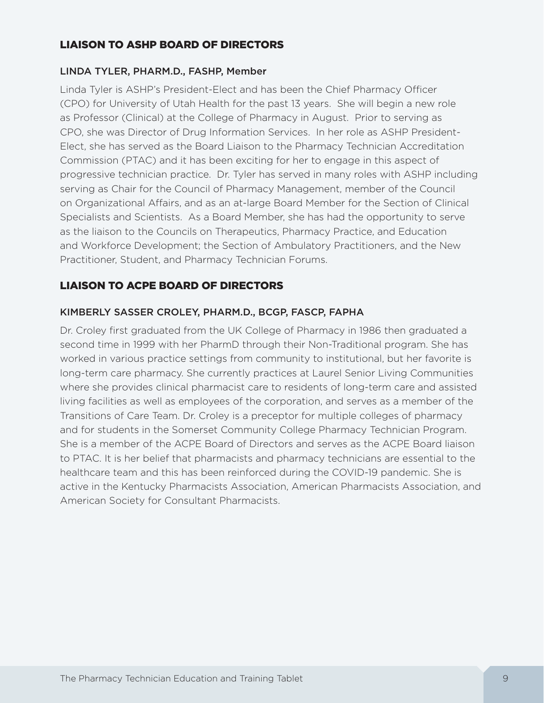# LIAISON TO ASHP BOARD OF DIRECTORS

#### LINDA TYLER, PHARM.D., FASHP, Member

Linda Tyler is ASHP's President-Elect and has been the Chief Pharmacy Officer (CPO) for University of Utah Health for the past 13 years. She will begin a new role as Professor (Clinical) at the College of Pharmacy in August. Prior to serving as CPO, she was Director of Drug Information Services. In her role as ASHP President-Elect, she has served as the Board Liaison to the Pharmacy Technician Accreditation Commission (PTAC) and it has been exciting for her to engage in this aspect of progressive technician practice. Dr. Tyler has served in many roles with ASHP including serving as Chair for the Council of Pharmacy Management, member of the Council on Organizational Affairs, and as an at-large Board Member for the Section of Clinical Specialists and Scientists. As a Board Member, she has had the opportunity to serve as the liaison to the Councils on Therapeutics, Pharmacy Practice, and Education and Workforce Development; the Section of Ambulatory Practitioners, and the New Practitioner, Student, and Pharmacy Technician Forums.

# LIAISON TO ACPE BOARD OF DIRECTORS

# KIMBERLY SASSER CROLEY, PHARM.D., BCGP, FASCP, FAPHA

Dr. Croley first graduated from the UK College of Pharmacy in 1986 then graduated a second time in 1999 with her PharmD through their Non-Traditional program. She has worked in various practice settings from community to institutional, but her favorite is long-term care pharmacy. She currently practices at Laurel Senior Living Communities where she provides clinical pharmacist care to residents of long-term care and assisted living facilities as well as employees of the corporation, and serves as a member of the Transitions of Care Team. Dr. Croley is a preceptor for multiple colleges of pharmacy and for students in the Somerset Community College Pharmacy Technician Program. She is a member of the ACPE Board of Directors and serves as the ACPE Board liaison to PTAC. It is her belief that pharmacists and pharmacy technicians are essential to the healthcare team and this has been reinforced during the COVID-19 pandemic. She is active in the Kentucky Pharmacists Association, American Pharmacists Association, and American Society for Consultant Pharmacists.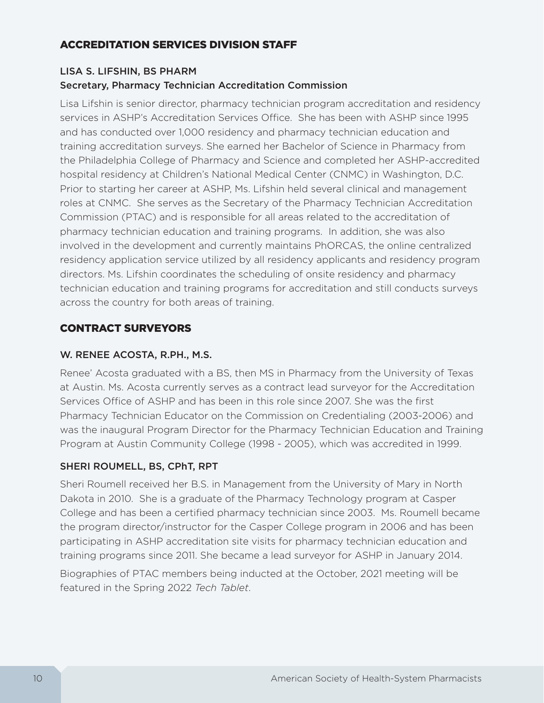# ACCREDITATION SERVICES DIVISION STAFF

# LISA S. LIFSHIN, BS PHARM Secretary, Pharmacy Technician Accreditation Commission

Lisa Lifshin is senior director, pharmacy technician program accreditation and residency services in ASHP's Accreditation Services Office. She has been with ASHP since 1995 and has conducted over 1,000 residency and pharmacy technician education and training accreditation surveys. She earned her Bachelor of Science in Pharmacy from the Philadelphia College of Pharmacy and Science and completed her ASHP-accredited hospital residency at Children's National Medical Center (CNMC) in Washington, D.C. Prior to starting her career at ASHP, Ms. Lifshin held several clinical and management roles at CNMC. She serves as the Secretary of the Pharmacy Technician Accreditation Commission (PTAC) and is responsible for all areas related to the accreditation of pharmacy technician education and training programs. In addition, she was also involved in the development and currently maintains PhORCAS, the online centralized residency application service utilized by all residency applicants and residency program directors. Ms. Lifshin coordinates the scheduling of onsite residency and pharmacy technician education and training programs for accreditation and still conducts surveys across the country for both areas of training.

# CONTRACT SURVEYORS

# W. RENEE ACOSTA, R.PH., M.S.

Renee' Acosta graduated with a BS, then MS in Pharmacy from the University of Texas at Austin. Ms. Acosta currently serves as a contract lead surveyor for the Accreditation Services Office of ASHP and has been in this role since 2007. She was the first Pharmacy Technician Educator on the Commission on Credentialing (2003-2006) and was the inaugural Program Director for the Pharmacy Technician Education and Training Program at Austin Community College (1998 - 2005), which was accredited in 1999.

# SHERI ROUMELL, BS, CPhT, RPT

Sheri Roumell received her B.S. in Management from the University of Mary in North Dakota in 2010. She is a graduate of the Pharmacy Technology program at Casper College and has been a certified pharmacy technician since 2003. Ms. Roumell became the program director/instructor for the Casper College program in 2006 and has been participating in ASHP accreditation site visits for pharmacy technician education and training programs since 2011. She became a lead surveyor for ASHP in January 2014.

Biographies of PTAC members being inducted at the October, 2021 meeting will be featured in the Spring 2022 *Tech Tablet*.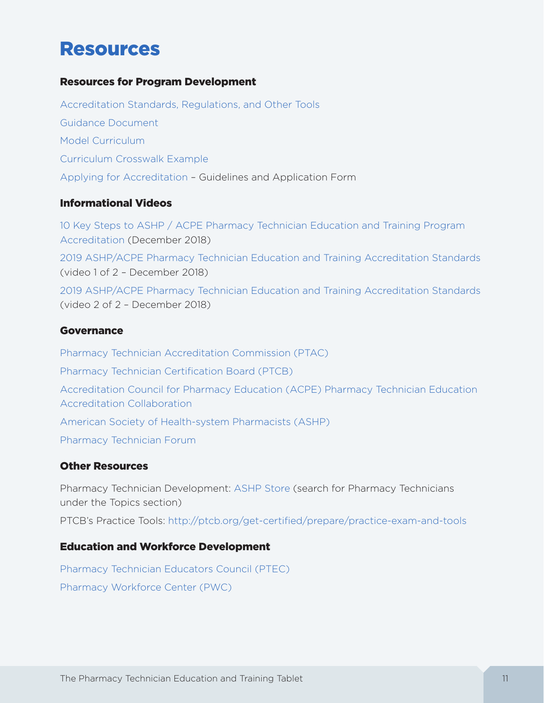# Resources

#### Resources for Program Development

[Accreditation Standards, Regulations, and Other Tools](https://www.ashp.org/Professional-Development/Technician-Program-Accreditation/Accreditation-Standards) [Guidance Document](https://www.ashp.org/-/media/assets/professional-development/technician-program-accreditation/docs/guidance-document-for-ashp-acpe-pharmacy-technician-standards-2019.ashx?la=en&hash=EABC487BDC12783AF2574084941B8274C765195A) [Model Curriculum](https://www.ashp.org/-/media/assets/professional-development/technician-program-accreditation/docs/model-curriculum-for-pharmacy-technician-education-training-programs-final-2018.ashx?la=en&hash=161B697B83DEEF83FE59C893985AFD7975A2764D) [Curriculum Crosswalk Example](https://www.ashp.org/-/media/assets/professional-development/technician-program-accreditation/docs/pharmacy-technician-education-training-programs-curriculum-crosswalk-example.ashx?la=en&hash=423CEA608C58A192E54DCFFA47984FD3241CADE2) [Applying for Accreditation](https://www.ashp.org/Professional-Development/Technician-Program-Accreditation/Applying-for-Accreditation/Guidelines-for-Application) – Guidelines and Application Form

#### Informational Videos

[10 Key Steps to ASHP / ACPE Pharmacy Technician Education and Training Program](https://youtu.be/hB_kJKOPKqc)  [Accreditation](https://youtu.be/hB_kJKOPKqc) (December 2018)

[2019 ASHP/ACPE Pharmacy Technician Education and Training Accreditation Standards](https://www.youtube.com/watch?v=EOhgdHvtoJY&feature=youtu.be) (video 1 of 2 – December 2018)

[2019 ASHP/ACPE Pharmacy Technician Education and Training Accreditation Standards](https://www.youtube.com/watch?v=ncUnoGv2Sm4&t=13s) (video 2 of 2 – December 2018)

#### Governance

[Pharmacy Technician Accreditation Commission \(PTAC\)](https://www.ashp.org/Professional-Development/Technician-Program-Accreditation/ASHP-ACPE-Pharmacy-Technician-Accreditation-Commission) [Pharmacy Technician Certification Board \(PTCB\)](http://www.ptcb.org/) [Accreditation Council for Pharmacy Education \(ACPE\) Pharmacy Technician Education](https://www.acpe-accredit.org/pharmacy-technician-education-accreditation-collaboration/)  [Accreditation Collaboration](https://www.acpe-accredit.org/pharmacy-technician-education-accreditation-collaboration/) [American Society of Health-system Pharmacists \(ASHP\)](http://www.ashp.org/) [Pharmacy Technician Forum](https://www.ashp.org/Pharmacy-Technician/Pharmacy-Technician-Forum/About-Pharmacy-Technician-Forum)

# Other Resources

Pharmacy Technician Development: [ASHP Store](https://store.ashp.org/Store.aspx) (search for Pharmacy Technicians under the Topics section) PTCB's Practice Tools:<http://ptcb.org/get-certified/prepare/practice-exam-and-tools>

#### Education and Workforce Development

[Pharmacy Technician Educators Council \(PTEC\)](https://www.pharmacytecheducators.com/about) [Pharmacy Workforce Center \(PWC\)](https://www.aacp.org/resource/pharmacy-workforce-center)